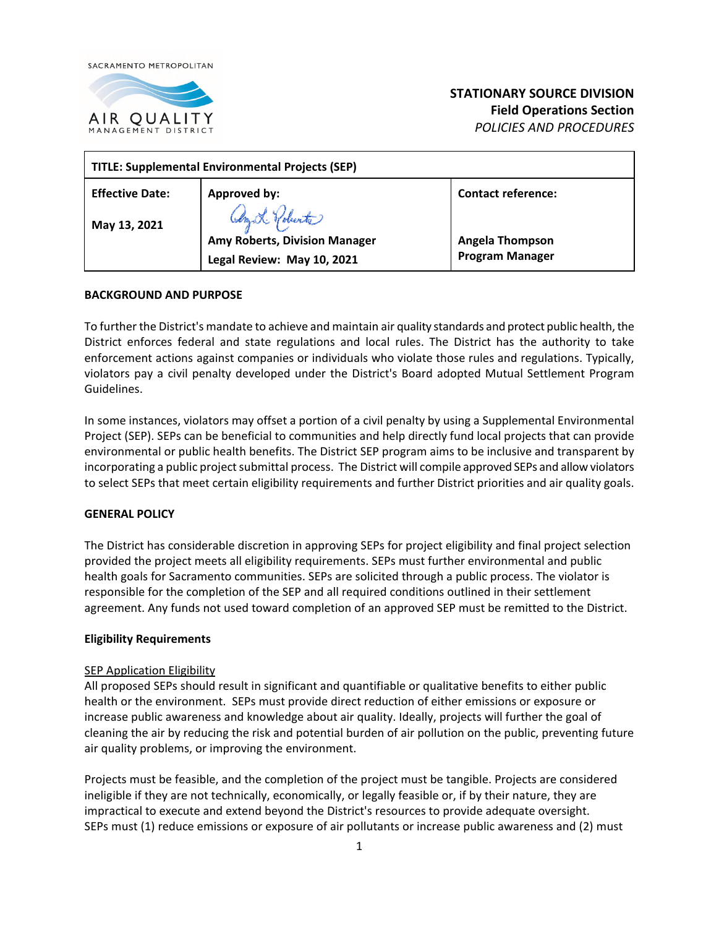



# **STATIONARY SOURCE DIVISION Field Operations Section**  *POLICIES AND PROCEDURES*

| <b>TITLE: Supplemental Environmental Projects (SEP)</b> |                               |                           |
|---------------------------------------------------------|-------------------------------|---------------------------|
| <b>Effective Date:</b>                                  | Approved by:                  | <b>Contact reference:</b> |
| May 13, 2021                                            | Any L. Polunte                |                           |
|                                                         | Amy Roberts, Division Manager | <b>Angela Thompson</b>    |
|                                                         | Legal Review: May 10, 2021    | <b>Program Manager</b>    |

### **BACKGROUND AND PURPOSE**

To further the District's mandate to achieve and maintain air quality standards and protect public health, the District enforces federal and state regulations and local rules. The District has the authority to take enforcement actions against companies or individuals who violate those rules and regulations. Typically, violators pay a civil penalty developed under the District's Board adopted Mutual Settlement Program Guidelines.

In some instances, violators may offset a portion of a civil penalty by using a Supplemental Environmental Project (SEP). SEPs can be beneficial to communities and help directly fund local projects that can provide environmental or public health benefits. The District SEP program aims to be inclusive and transparent by incorporating a public project submittal process. The District will compile approved SEPs and allow violators to select SEPs that meet certain eligibility requirements and further District priorities and air quality goals.

### **GENERAL POLICY**

The District has considerable discretion in approving SEPs for project eligibility and final project selection provided the project meets all eligibility requirements. SEPs must further environmental and public health goals for Sacramento communities. SEPs are solicited through a public process. The violator is responsible for the completion of the SEP and all required conditions outlined in their settlement agreement. Any funds not used toward completion of an approved SEP must be remitted to the District.

### **Eligibility Requirements**

### SEP Application Eligibility

All proposed SEPs should result in significant and quantifiable or qualitative benefits to either public health or the environment. SEPs must provide direct reduction of either emissions or exposure or increase public awareness and knowledge about air quality. Ideally, projects will further the goal of cleaning the air by reducing the risk and potential burden of air pollution on the public, preventing future air quality problems, or improving the environment.

Projects must be feasible, and the completion of the project must be tangible. Projects are considered ineligible if they are not technically, economically, or legally feasible or, if by their nature, they are impractical to execute and extend beyond the District's resources to provide adequate oversight. SEPs must (1) reduce emissions or exposure of air pollutants or increase public awareness and (2) must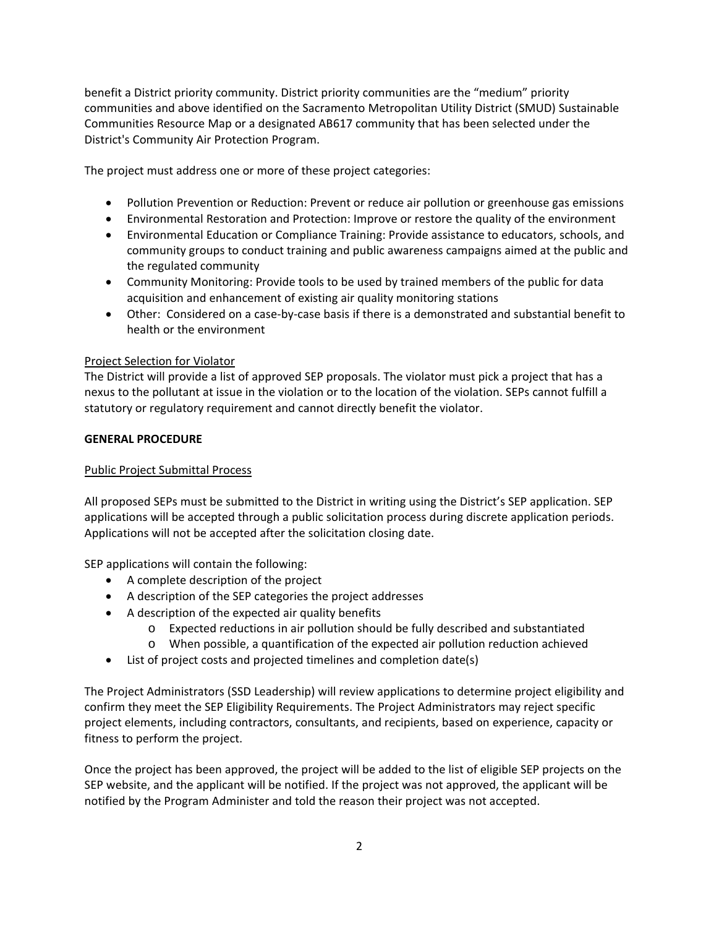benefit a District priority community. District priority communities are the "medium" priority communities and above identified on the Sacramento Metropolitan Utility District (SMUD) Sustainable Communities Resource Map or a designated AB617 community that has been selected under the District's Community Air Protection Program.

The project must address one or more of these project categories:

- Pollution Prevention or Reduction: Prevent or reduce air pollution or greenhouse gas emissions
- Environmental Restoration and Protection: Improve or restore the quality of the environment
- Environmental Education or Compliance Training: Provide assistance to educators, schools, and community groups to conduct training and public awareness campaigns aimed at the public and the regulated community
- Community Monitoring: Provide tools to be used by trained members of the public for data acquisition and enhancement of existing air quality monitoring stations
- Other: Considered on a case-by-case basis if there is a demonstrated and substantial benefit to health or the environment

### Project Selection for Violator

The District will provide a list of approved SEP proposals. The violator must pick a project that has a nexus to the pollutant at issue in the violation or to the location of the violation. SEPs cannot fulfill a statutory or regulatory requirement and cannot directly benefit the violator.

### **GENERAL PROCEDURE**

## Public Project Submittal Process

All proposed SEPs must be submitted to the District in writing using the District's SEP application. SEP applications will be accepted through a public solicitation process during discrete application periods. Applications will not be accepted after the solicitation closing date.

SEP applications will contain the following:

- A complete description of the project
- A description of the SEP categories the project addresses
- A description of the expected air quality benefits
	- o Expected reductions in air pollution should be fully described and substantiated
	- o When possible, a quantification of the expected air pollution reduction achieved
- List of project costs and projected timelines and completion date(s)

The Project Administrators (SSD Leadership) will review applications to determine project eligibility and confirm they meet the SEP Eligibility Requirements. The Project Administrators may reject specific project elements, including contractors, consultants, and recipients, based on experience, capacity or fitness to perform the project.

Once the project has been approved, the project will be added to the list of eligible SEP projects on the SEP website, and the applicant will be notified. If the project was not approved, the applicant will be notified by the Program Administer and told the reason their project was not accepted.